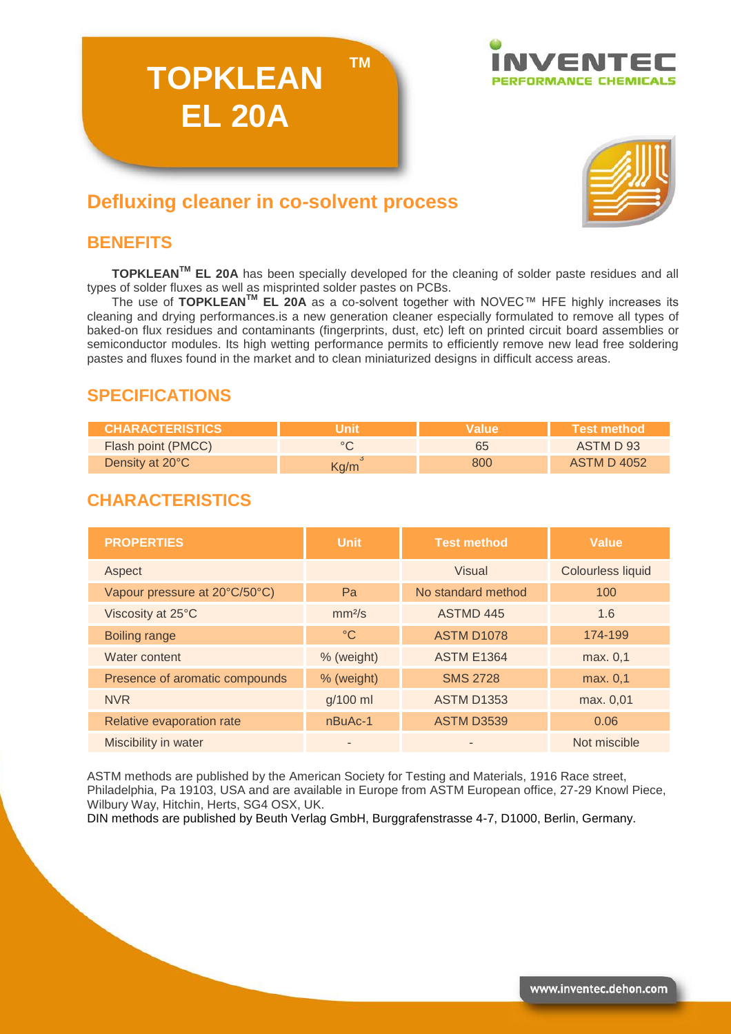



# **Defluxing cleaner in co-solvent process**

**TOPKLEAN**

**EL 20A**

## **BENEFITS**

**TOPKLEANTM EL 20A** has been specially developed for the cleaning of solder paste residues and all types of solder fluxes as well as misprinted solder pastes on PCBs.

**TM**

The use of **TOPKLEANTM EL 20A** as a co-solvent together with NOVEC™ HFE highly increases its cleaning and drying performances.is a new generation cleaner especially formulated to remove all types of baked-on flux residues and contaminants (fingerprints, dust, etc) left on printed circuit board assemblies or semiconductor modules. Its high wetting performance permits to efficiently remove new lead free soldering pastes and fluxes found in the market and to clean miniaturized designs in difficult access areas.

## **SPECIFICATIONS**

| <b>CHARACTERISTICS</b> |      | <b>Nalue</b> | Test method        |
|------------------------|------|--------------|--------------------|
| Flash point (PMCC)     |      | 65           | ASTM D 93          |
| Density at 20°C        | Kg/m | 800          | <b>ASTM D 4052</b> |

## **CHARACTERISTICS**

| <b>PROPERTIES</b>              | <b>Unit</b>        | <b>Test method</b> | <b>Value</b>             |
|--------------------------------|--------------------|--------------------|--------------------------|
| Aspect                         |                    | Visual             | <b>Colourless liquid</b> |
| Vapour pressure at 20°C/50°C)  | Pa                 | No standard method | 100                      |
| Viscosity at 25°C              | mm <sup>2</sup> /s | ASTMD 445          | 1.6                      |
| <b>Boiling range</b>           | $\rm ^{\circ}C$    | <b>ASTM D1078</b>  | 174-199                  |
| Water content                  | % (weight)         | <b>ASTM E1364</b>  | max. 0,1                 |
| Presence of aromatic compounds | % (weight)         | <b>SMS 2728</b>    | max. 0,1                 |
| <b>NVR</b>                     | g/100 ml           | <b>ASTM D1353</b>  | max. 0,01                |
| Relative evaporation rate      | nBuAc-1            | <b>ASTM D3539</b>  | 0.06                     |
| Miscibility in water           |                    |                    | Not miscible             |

ASTM methods are published by the American Society for Testing and Materials, 1916 Race street, Philadelphia, Pa 19103, USA and are available in Europe from ASTM European office, 27-29 Knowl Piece, Wilbury Way, Hitchin, Herts, SG4 OSX, UK.

DIN methods are published by Beuth Verlag GmbH, Burggrafenstrasse 4-7, D1000, Berlin, Germany.